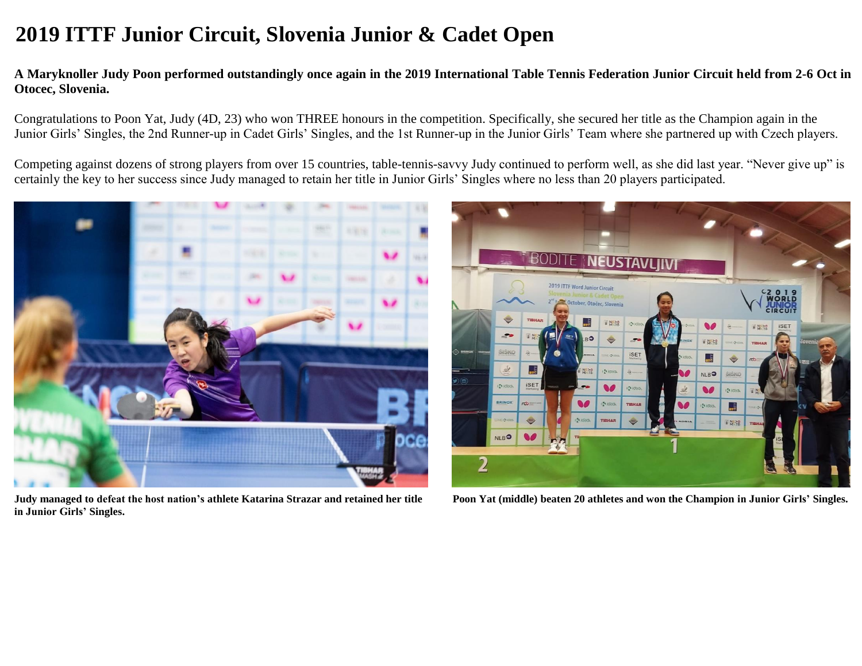## **2019 ITTF Junior Circuit, Slovenia Junior & Cadet Open**

## **A Maryknoller Judy Poon performed outstandingly once again in the 2019 International Table Tennis Federation Junior Circuit held from 2-6 Oct in Otocec, Slovenia.**

Congratulations to Poon Yat, Judy (4D, 23) who won THREE honours in the competition. Specifically, she secured her title as the Champion again in the Junior Girls' Singles, the 2nd Runner-up in Cadet Girls' Singles, and the 1st Runner-up in the Junior Girls' Team where she partnered up with Czech players.

Competing against dozens of strong players from over 15 countries, table-tennis-savvy Judy continued to perform well, as she did last year. "Never give up" is certainly the key to her success since Judy managed to retain her title in Junior Girls' Singles where no less than 20 players participated.



**Judy managed to defeat the host nation's athlete Katarina Strazar and retained her title Poon Yat (middle) beaten 20 athletes and won the Champion in Junior Girls' Singles. in Junior Girls' Singles.**